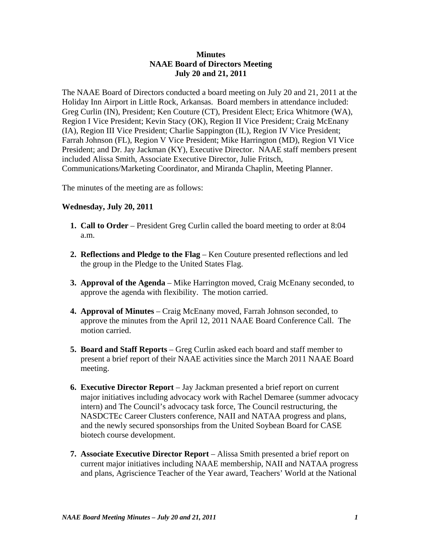## **Minutes NAAE Board of Directors Meeting July 20 and 21, 2011**

The NAAE Board of Directors conducted a board meeting on July 20 and 21, 2011 at the Holiday Inn Airport in Little Rock, Arkansas. Board members in attendance included: Greg Curlin (IN), President; Ken Couture (CT), President Elect; Erica Whitmore (WA), Region I Vice President; Kevin Stacy (OK), Region II Vice President; Craig McEnany (IA), Region III Vice President; Charlie Sappington (IL), Region IV Vice President; Farrah Johnson (FL), Region V Vice President; Mike Harrington (MD), Region VI Vice President; and Dr. Jay Jackman (KY), Executive Director. NAAE staff members present included Alissa Smith, Associate Executive Director, Julie Fritsch, Communications/Marketing Coordinator, and Miranda Chaplin, Meeting Planner.

The minutes of the meeting are as follows:

## **Wednesday, July 20, 2011**

- **1. Call to Order** President Greg Curlin called the board meeting to order at 8:04 a.m.
- **2. Reflections and Pledge to the Flag** Ken Couture presented reflections and led the group in the Pledge to the United States Flag.
- **3. Approval of the Agenda** Mike Harrington moved, Craig McEnany seconded, to approve the agenda with flexibility. The motion carried.
- **4. Approval of Minutes** Craig McEnany moved, Farrah Johnson seconded, to approve the minutes from the April 12, 2011 NAAE Board Conference Call. The motion carried.
- **5. Board and Staff Reports** Greg Curlin asked each board and staff member to present a brief report of their NAAE activities since the March 2011 NAAE Board meeting.
- **6. Executive Director Report** Jay Jackman presented a brief report on current major initiatives including advocacy work with Rachel Demaree (summer advocacy intern) and The Council's advocacy task force, The Council restructuring, the NASDCTEc Career Clusters conference, NAII and NATAA progress and plans, and the newly secured sponsorships from the United Soybean Board for CASE biotech course development.
- **7. Associate Executive Director Report** Alissa Smith presented a brief report on current major initiatives including NAAE membership, NAII and NATAA progress and plans, Agriscience Teacher of the Year award, Teachers' World at the National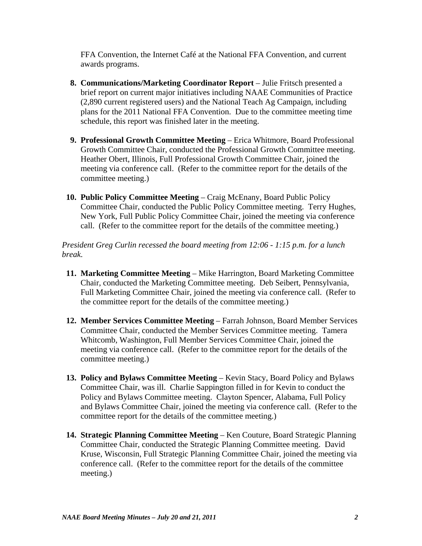FFA Convention, the Internet Café at the National FFA Convention, and current awards programs.

- **8. Communications/Marketing Coordinator Report** Julie Fritsch presented a brief report on current major initiatives including NAAE Communities of Practice (2,890 current registered users) and the National Teach Ag Campaign, including plans for the 2011 National FFA Convention. Due to the committee meeting time schedule, this report was finished later in the meeting.
- **9. Professional Growth Committee Meeting** Erica Whitmore, Board Professional Growth Committee Chair, conducted the Professional Growth Committee meeting. Heather Obert, Illinois, Full Professional Growth Committee Chair, joined the meeting via conference call. (Refer to the committee report for the details of the committee meeting.)
- **10. Public Policy Committee Meeting** Craig McEnany, Board Public Policy Committee Chair, conducted the Public Policy Committee meeting. Terry Hughes, New York, Full Public Policy Committee Chair, joined the meeting via conference call. (Refer to the committee report for the details of the committee meeting.)

*President Greg Curlin recessed the board meeting from 12:06 - 1:15 p.m. for a lunch break.*

- **11. Marketing Committee Meeting** Mike Harrington, Board Marketing Committee Chair, conducted the Marketing Committee meeting. Deb Seibert, Pennsylvania, Full Marketing Committee Chair, joined the meeting via conference call. (Refer to the committee report for the details of the committee meeting.)
- **12. Member Services Committee Meeting**  Farrah Johnson, Board Member Services Committee Chair, conducted the Member Services Committee meeting. Tamera Whitcomb, Washington, Full Member Services Committee Chair, joined the meeting via conference call. (Refer to the committee report for the details of the committee meeting.)
- **13. Policy and Bylaws Committee Meeting Kevin Stacy, Board Policy and Bylaws** Committee Chair, was ill. Charlie Sappington filled in for Kevin to conduct the Policy and Bylaws Committee meeting. Clayton Spencer, Alabama, Full Policy and Bylaws Committee Chair, joined the meeting via conference call. (Refer to the committee report for the details of the committee meeting.)
- **14. Strategic Planning Committee Meeting** Ken Couture, Board Strategic Planning Committee Chair, conducted the Strategic Planning Committee meeting. David Kruse, Wisconsin, Full Strategic Planning Committee Chair, joined the meeting via conference call. (Refer to the committee report for the details of the committee meeting.)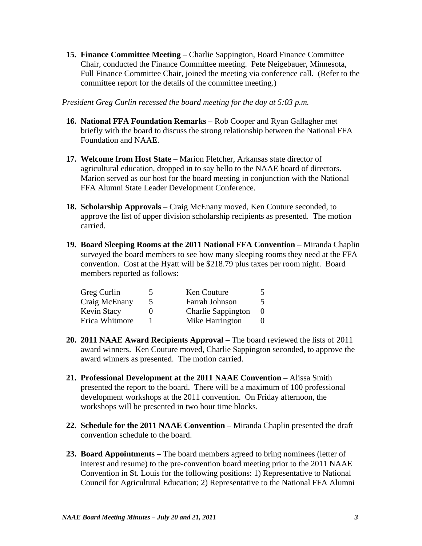**15. Finance Committee Meeting** – Charlie Sappington, Board Finance Committee Chair, conducted the Finance Committee meeting. Pete Neigebauer, Minnesota, Full Finance Committee Chair, joined the meeting via conference call. (Refer to the committee report for the details of the committee meeting.)

*President Greg Curlin recessed the board meeting for the day at 5:03 p.m.*

- **16. National FFA Foundation Remarks** Rob Cooper and Ryan Gallagher met briefly with the board to discuss the strong relationship between the National FFA Foundation and NAAE.
- **17. Welcome from Host State** Marion Fletcher, Arkansas state director of agricultural education, dropped in to say hello to the NAAE board of directors. Marion served as our host for the board meeting in conjunction with the National FFA Alumni State Leader Development Conference.
- **18. Scholarship Approvals** Craig McEnany moved, Ken Couture seconded, to approve the list of upper division scholarship recipients as presented. The motion carried.
- **19. Board Sleeping Rooms at the 2011 National FFA Convention** Miranda Chaplin surveyed the board members to see how many sleeping rooms they need at the FFA convention. Cost at the Hyatt will be \$218.79 plus taxes per room night. Board members reported as follows:

| Greg Curlin    | $\mathcal{D}$ | Ken Couture               |  |
|----------------|---------------|---------------------------|--|
| Craig McEnany  | 5             | Farrah Johnson            |  |
| Kevin Stacy    | 0             | <b>Charlie Sappington</b> |  |
| Erica Whitmore |               | Mike Harrington           |  |

- **20. 2011 NAAE Award Recipients Approval** The board reviewed the lists of 2011 award winners. Ken Couture moved, Charlie Sappington seconded, to approve the award winners as presented. The motion carried.
- **21. Professional Development at the 2011 NAAE Convention** Alissa Smith presented the report to the board. There will be a maximum of 100 professional development workshops at the 2011 convention. On Friday afternoon, the workshops will be presented in two hour time blocks.
- **22. Schedule for the 2011 NAAE Convention** Miranda Chaplin presented the draft convention schedule to the board.
- **23. Board Appointments** The board members agreed to bring nominees (letter of interest and resume) to the pre-convention board meeting prior to the 2011 NAAE Convention in St. Louis for the following positions: 1) Representative to National Council for Agricultural Education; 2) Representative to the National FFA Alumni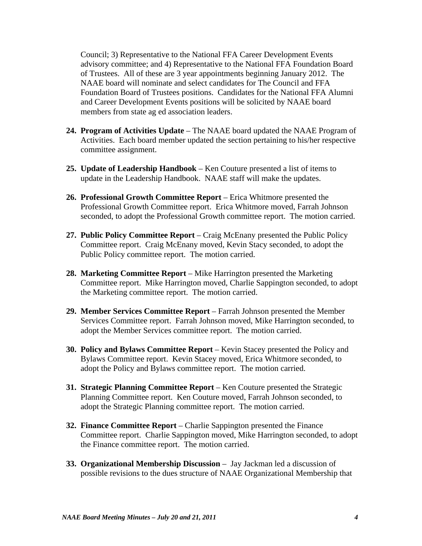Council; 3) Representative to the National FFA Career Development Events advisory committee; and 4) Representative to the National FFA Foundation Board of Trustees. All of these are 3 year appointments beginning January 2012. The NAAE board will nominate and select candidates for The Council and FFA Foundation Board of Trustees positions. Candidates for the National FFA Alumni and Career Development Events positions will be solicited by NAAE board members from state ag ed association leaders.

- **24. Program of Activities Update** The NAAE board updated the NAAE Program of Activities. Each board member updated the section pertaining to his/her respective committee assignment.
- **25. Update of Leadership Handbook** Ken Couture presented a list of items to update in the Leadership Handbook. NAAE staff will make the updates.
- **26. Professional Growth Committee Report** Erica Whitmore presented the Professional Growth Committee report. Erica Whitmore moved, Farrah Johnson seconded, to adopt the Professional Growth committee report. The motion carried.
- **27. Public Policy Committee Report** Craig McEnany presented the Public Policy Committee report. Craig McEnany moved, Kevin Stacy seconded, to adopt the Public Policy committee report. The motion carried.
- **28. Marketing Committee Report**  Mike Harrington presented the Marketing Committee report. Mike Harrington moved, Charlie Sappington seconded, to adopt the Marketing committee report. The motion carried.
- **29. Member Services Committee Report** Farrah Johnson presented the Member Services Committee report. Farrah Johnson moved, Mike Harrington seconded, to adopt the Member Services committee report. The motion carried.
- **30. Policy and Bylaws Committee Report**  Kevin Stacey presented the Policy and Bylaws Committee report. Kevin Stacey moved, Erica Whitmore seconded, to adopt the Policy and Bylaws committee report. The motion carried.
- **31. Strategic Planning Committee Report** Ken Couture presented the Strategic Planning Committee report. Ken Couture moved, Farrah Johnson seconded, to adopt the Strategic Planning committee report. The motion carried.
- **32. Finance Committee Report**  Charlie Sappington presented the Finance Committee report. Charlie Sappington moved, Mike Harrington seconded, to adopt the Finance committee report. The motion carried.
- **33. Organizational Membership Discussion** Jay Jackman led a discussion of possible revisions to the dues structure of NAAE Organizational Membership that